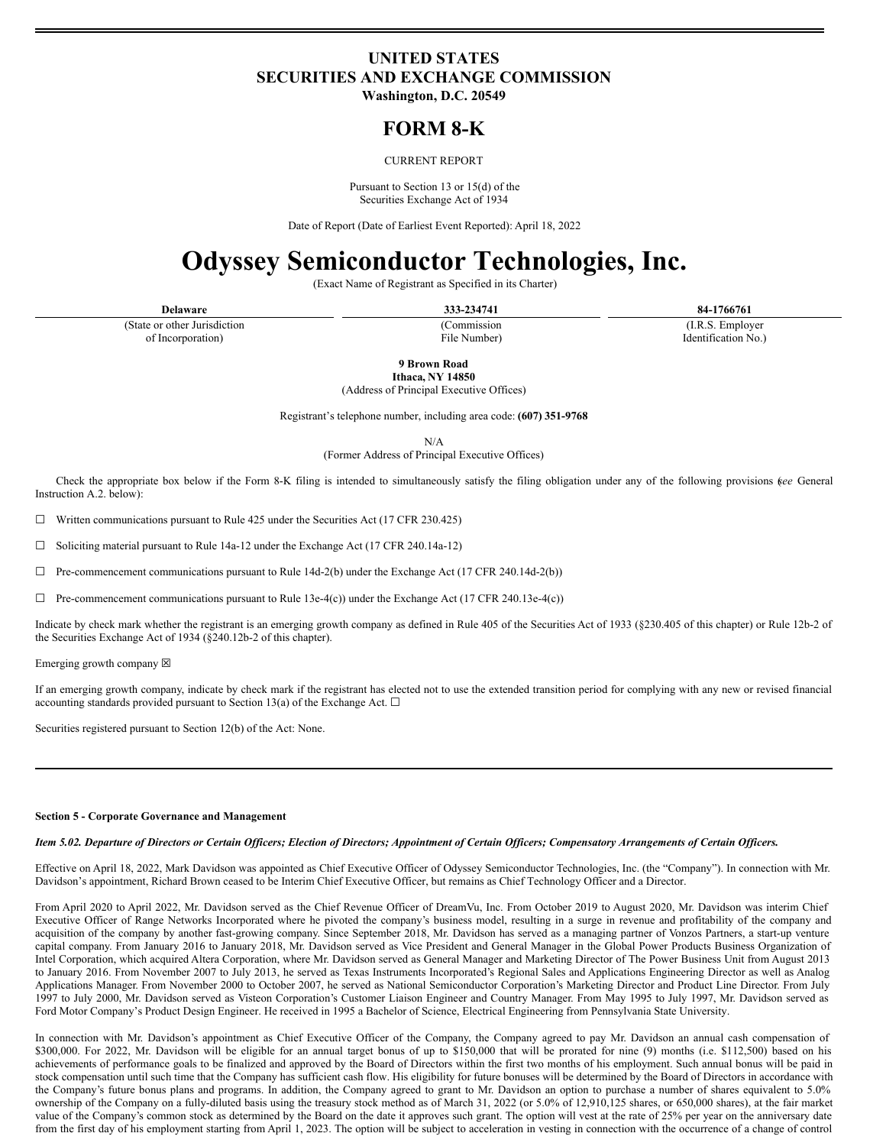### **UNITED STATES SECURITIES AND EXCHANGE COMMISSION**

**Washington, D.C. 20549**

## **FORM 8-K**

#### CURRENT REPORT

Pursuant to Section 13 or 15(d) of the Securities Exchange Act of 1934

Date of Report (Date of Earliest Event Reported): April 18, 2022

# **Odyssey Semiconductor Technologies, Inc.**

(Exact Name of Registrant as Specified in its Charter)

(State or other Jurisdiction of Incorporation)

(Commission File Number)

**Delaware 333-234741 84-1766761** (I.R.S. Employer

Identification No.)

**9 Brown Road Ithaca, NY 14850**

(Address of Principal Executive Offices)

Registrant's telephone number, including area code: **(607) 351-9768**

N/A

(Former Address of Principal Executive Offices)

Check the appropriate box below if the Form 8-K filing is intended to simultaneously satisfy the filing obligation under any of the following provisions (*see* General Instruction A.2. below):

 $\Box$  Written communications pursuant to Rule 425 under the Securities Act (17 CFR 230.425)

 $\Box$  Soliciting material pursuant to Rule 14a-12 under the Exchange Act (17 CFR 240.14a-12)

 $\Box$  Pre-commencement communications pursuant to Rule 14d-2(b) under the Exchange Act (17 CFR 240.14d-2(b))

 $\Box$  Pre-commencement communications pursuant to Rule 13e-4(c)) under the Exchange Act (17 CFR 240.13e-4(c))

Indicate by check mark whether the registrant is an emerging growth company as defined in Rule 405 of the Securities Act of 1933 (§230.405 of this chapter) or Rule 12b-2 of the Securities Exchange Act of 1934 (§240.12b-2 of this chapter).

Emerging growth company  $\boxtimes$ 

If an emerging growth company, indicate by check mark if the registrant has elected not to use the extended transition period for complying with any new or revised financial accounting standards provided pursuant to Section 13(a) of the Exchange Act.  $\Box$ 

Securities registered pursuant to Section 12(b) of the Act: None.

#### **Section 5 - Corporate Governance and Management**

#### Item 5.02. Departure of Directors or Certain Officers; Election of Directors; Appointment of Certain Officers; Compensatory Arrangements of Certain Officers.

Effective on April 18, 2022, Mark Davidson was appointed as Chief Executive Officer of Odyssey Semiconductor Technologies, Inc. (the "Company"). In connection with Mr. Davidson's appointment, Richard Brown ceased to be Interim Chief Executive Officer, but remains as Chief Technology Officer and a Director.

From April 2020 to April 2022, Mr. Davidson served as the Chief Revenue Officer of DreamVu, Inc. From October 2019 to August 2020, Mr. Davidson was interim Chief Executive Officer of Range Networks Incorporated where he pivoted the company's business model, resulting in a surge in revenue and profitability of the company and acquisition of the company by another fast-growing company. Since September 2018, Mr. Davidson has served as a managing partner of Vonzos Partners, a start-up venture capital company. From January 2016 to January 2018, Mr. Davidson served as Vice President and General Manager in the Global Power Products Business Organization of Intel Corporation, which acquired Altera Corporation, where Mr. Davidson served as General Manager and Marketing Director of The Power Business Unit from August 2013 to January 2016. From November 2007 to July 2013, he served as Texas Instruments Incorporated's Regional Sales and Applications Engineering Director as well as Analog Applications Manager. From November 2000 to October 2007, he served as National Semiconductor Corporation's Marketing Director and Product Line Director. From July 1997 to July 2000, Mr. Davidson served as Visteon Corporation's Customer Liaison Engineer and Country Manager. From May 1995 to July 1997, Mr. Davidson served as Ford Motor Company's Product Design Engineer. He received in 1995 a Bachelor of Science, Electrical Engineering from Pennsylvania State University.

In connection with Mr. Davidson's appointment as Chief Executive Officer of the Company, the Company agreed to pay Mr. Davidson an annual cash compensation of \$300,000. For 2022, Mr. Davidson will be eligible for an annual target bonus of up to \$150,000 that will be prorated for nine (9) months (i.e. \$112,500) based on his achievements of performance goals to be finalized and approved by the Board of Directors within the first two months of his employment. Such annual bonus will be paid in stock compensation until such time that the Company has sufficient cash flow. His eligibility for future bonuses will be determined by the Board of Directors in accordance with the Company's future bonus plans and programs. In addition, the Company agreed to grant to Mr. Davidson an option to purchase a number of shares equivalent to 5.0% ownership of the Company on a fully-diluted basis using the treasury stock method as of March 31, 2022 (or 5.0% of 12,910,125 shares, or 650,000 shares), at the fair market value of the Company's common stock as determined by the Board on the date it approves such grant. The option will vest at the rate of 25% per year on the anniversary date from the first day of his employment starting from April 1, 2023. The option will be subject to acceleration in vesting in connection with the occurrence of a change of control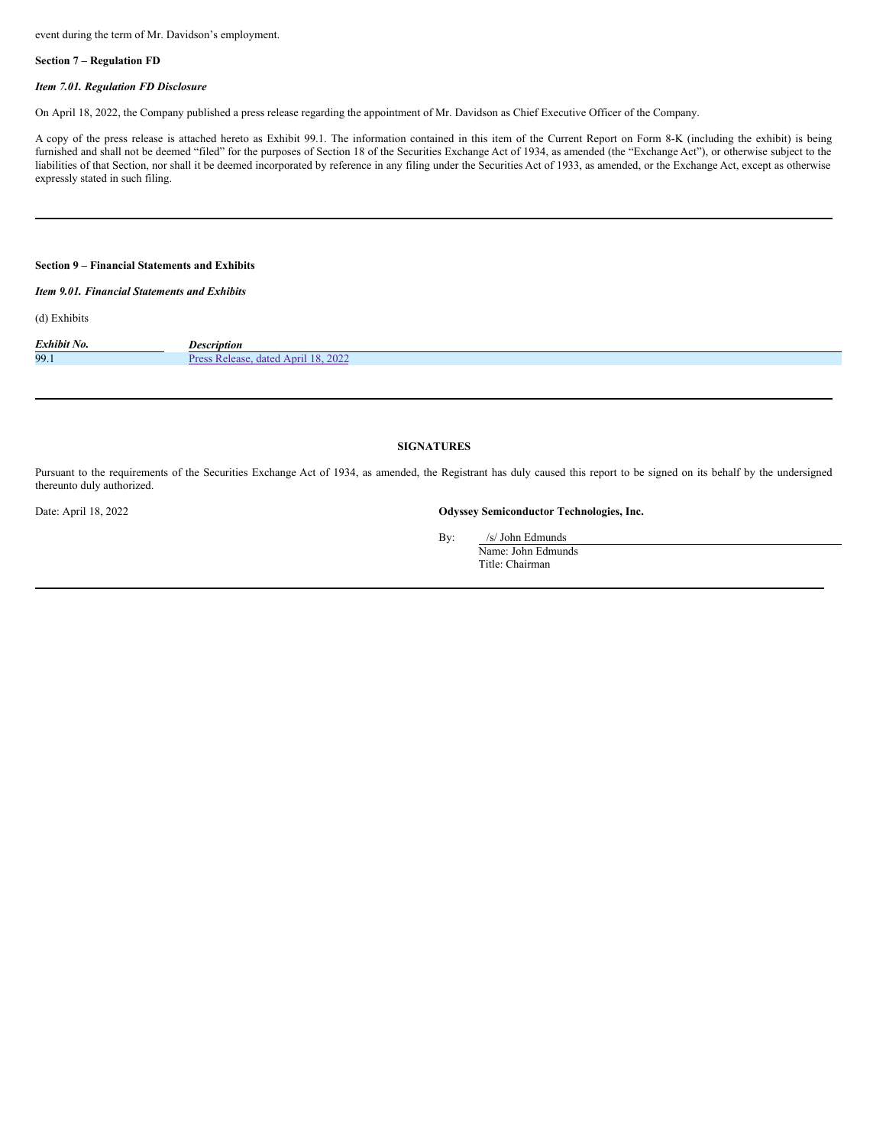event during the term of Mr. Davidson's employment.

#### **Section 7 – Regulation FD**

#### *Item 7.01. Regulation FD Disclosure*

On April 18, 2022, the Company published a press release regarding the appointment of Mr. Davidson as Chief Executive Officer of the Company.

A copy of the press release is attached hereto as Exhibit 99.1. The information contained in this item of the Current Report on Form 8-K (including the exhibit) is being furnished and shall not be deemed "filed" for the purposes of Section 18 of the Securities Exchange Act of 1934, as amended (the "Exchange Act"), or otherwise subject to the liabilities of that Section, nor shall it be deemed incorporated by reference in any filing under the Securities Act of 1933, as amended, or the Exchange Act, except as otherwise expressly stated in such filing.

#### **Section 9 – Financial Statements and Exhibits**

*Item 9.01. Financial Statements and Exhibits*

(d) Exhibits

*Exhibit No. Description* 99.1 Press [Release,](#page-2-0) dated April 18, 2022

#### **SIGNATURES**

Pursuant to the requirements of the Securities Exchange Act of 1934, as amended, the Registrant has duly caused this report to be signed on its behalf by the undersigned thereunto duly authorized.

#### Date: April 18, 2022 **Odyssey Semiconductor Technologies, Inc.**

By: /s/ John Edmunds

Name: John Edmunds Title: Chairman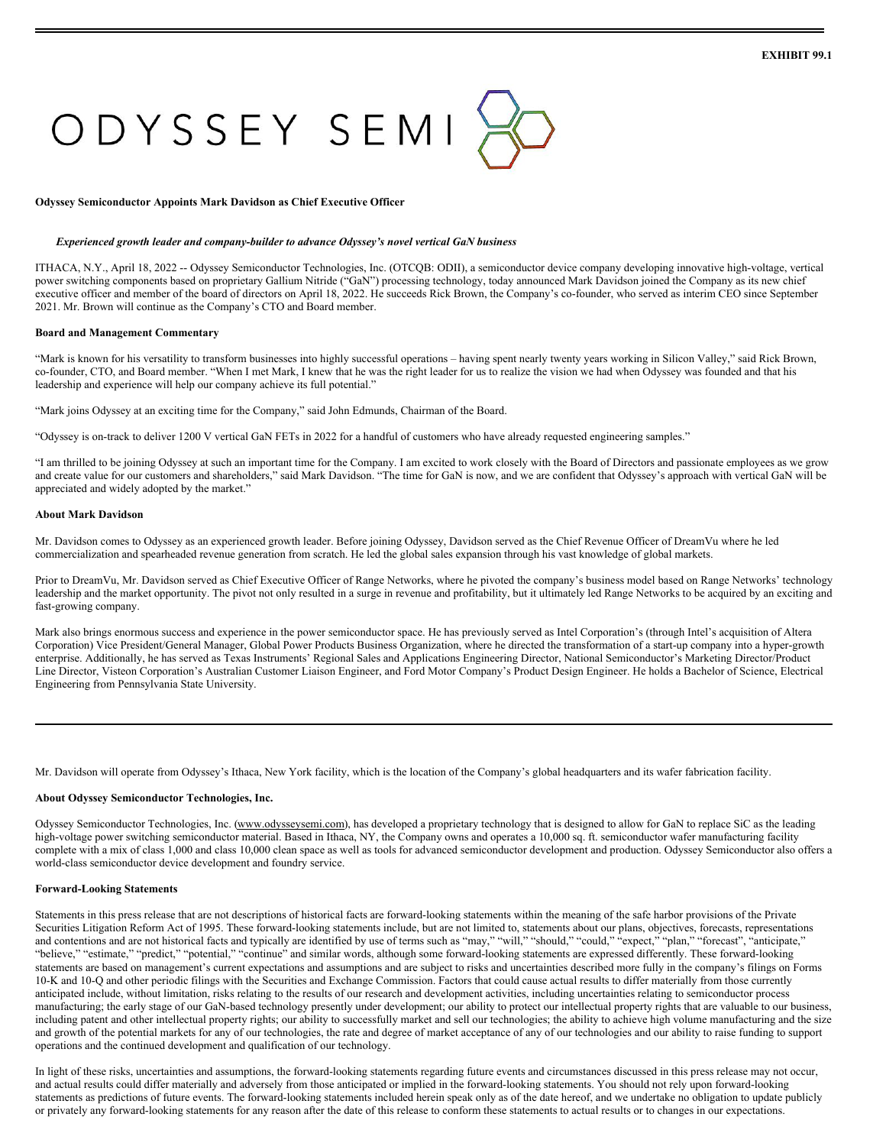# <span id="page-2-0"></span>ODYSSEY SEMI

#### **Odyssey Semiconductor Appoints Mark Davidson as Chief Executive Officer**

#### *Experienced growth leader and company-builder to advance Odyssey's novel vertical GaN business*

ITHACA, N.Y., April 18, 2022 -- Odyssey Semiconductor Technologies, Inc. (OTCQB: ODII), a semiconductor device company developing innovative high-voltage, vertical power switching components based on proprietary Gallium Nitride ("GaN") processing technology, today announced Mark Davidson joined the Company as its new chief executive officer and member of the board of directors on April 18, 2022. He succeeds Rick Brown, the Company's co-founder, who served as interim CEO since September 2021. Mr. Brown will continue as the Company's CTO and Board member.

#### **Board and Management Commentary**

"Mark is known for his versatility to transform businesses into highly successful operations – having spent nearly twenty years working in Silicon Valley," said Rick Brown, co-founder, CTO, and Board member. "When I met Mark, I knew that he was the right leader for us to realize the vision we had when Odyssey was founded and that his leadership and experience will help our company achieve its full potential."

"Mark joins Odyssey at an exciting time for the Company," said John Edmunds, Chairman of the Board.

"Odyssey is on-track to deliver 1200 V vertical GaN FETs in 2022 for a handful of customers who have already requested engineering samples."

"I am thrilled to be joining Odyssey at such an important time for the Company. I am excited to work closely with the Board of Directors and passionate employees as we grow and create value for our customers and shareholders," said Mark Davidson. "The time for GaN is now, and we are confident that Odyssey's approach with vertical GaN will be appreciated and widely adopted by the market."

#### **About Mark Davidson**

Mr. Davidson comes to Odyssey as an experienced growth leader. Before joining Odyssey, Davidson served as the Chief Revenue Officer of DreamVu where he led commercialization and spearheaded revenue generation from scratch. He led the global sales expansion through his vast knowledge of global markets.

Prior to DreamVu, Mr. Davidson served as Chief Executive Officer of Range Networks, where he pivoted the company's business model based on Range Networks' technology leadership and the market opportunity. The pivot not only resulted in a surge in revenue and profitability, but it ultimately led Range Networks to be acquired by an exciting and fast-growing company.

Mark also brings enormous success and experience in the power semiconductor space. He has previously served as Intel Corporation's (through Intel's acquisition of Altera Corporation) Vice President/General Manager, Global Power Products Business Organization, where he directed the transformation of a start-up company into a hyper-growth enterprise. Additionally, he has served as Texas Instruments' Regional Sales and Applications Engineering Director, National Semiconductor's Marketing Director/Product Line Director, Visteon Corporation's Australian Customer Liaison Engineer, and Ford Motor Company's Product Design Engineer. He holds a Bachelor of Science, Electrical Engineering from Pennsylvania State University.

Mr. Davidson will operate from Odyssey's Ithaca, New York facility, which is the location of the Company's global headquarters and its wafer fabrication facility.

#### **About Odyssey Semiconductor Technologies, Inc.**

Odyssey Semiconductor Technologies, Inc. (www.odysseysemi.com), has developed a proprietary technology that is designed to allow for GaN to replace SiC as the leading high-voltage power switching semiconductor material. Based in Ithaca, NY, the Company owns and operates a 10,000 sq. ft. semiconductor wafer manufacturing facility complete with a mix of class 1,000 and class 10,000 clean space as well as tools for advanced semiconductor development and production. Odyssey Semiconductor also offers a world-class semiconductor device development and foundry service.

#### **Forward-Looking Statements**

Statements in this press release that are not descriptions of historical facts are forward-looking statements within the meaning of the safe harbor provisions of the Private Securities Litigation Reform Act of 1995. These forward-looking statements include, but are not limited to, statements about our plans, objectives, forecasts, representations and contentions and are not historical facts and typically are identified by use of terms such as "may," "will," "should," "could," "expect," "plan," "forecast", "anticipate," "believe," "estimate," "predict," "potential," "continue" and similar words, although some forward-looking statements are expressed differently. These forward-looking statements are based on management's current expectations and assumptions and are subject to risks and uncertainties described more fully in the company's filings on Forms 10-K and 10-Q and other periodic filings with the Securities and Exchange Commission. Factors that could cause actual results to differ materially from those currently anticipated include, without limitation, risks relating to the results of our research and development activities, including uncertainties relating to semiconductor process manufacturing; the early stage of our GaN-based technology presently under development; our ability to protect our intellectual property rights that are valuable to our business, including patent and other intellectual property rights; our ability to successfully market and sell our technologies; the ability to achieve high volume manufacturing and the size and growth of the potential markets for any of our technologies, the rate and degree of market acceptance of any of our technologies and our ability to raise funding to support operations and the continued development and qualification of our technology.

In light of these risks, uncertainties and assumptions, the forward-looking statements regarding future events and circumstances discussed in this press release may not occur, and actual results could differ materially and adversely from those anticipated or implied in the forward-looking statements. You should not rely upon forward-looking statements as predictions of future events. The forward-looking statements included herein speak only as of the date hereof, and we undertake no obligation to update publicly or privately any forward-looking statements for any reason after the date of this release to conform these statements to actual results or to changes in our expectations.